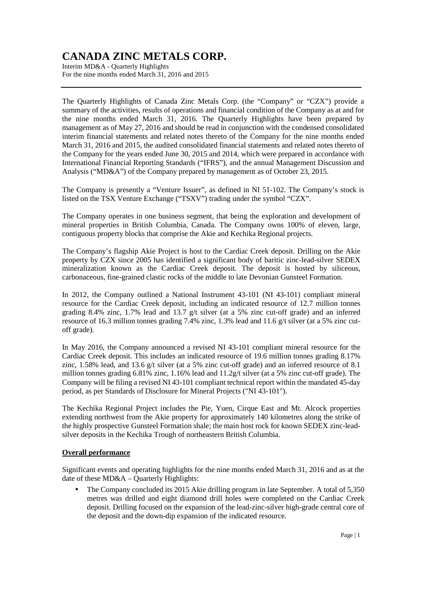Interim MD&A - Quarterly Highlights For the nine months ended March 31, 2016 and 2015

The Quarterly Highlights of Canada Zinc Metals Corp. (the "Company" or "CZX") provide a summary of the activities, results of operations and financial condition of the Company as at and for the nine months ended March 31, 2016. The Quarterly Highlights have been prepared by management as of May 27, 2016 and should be read in conjunction with the condensed consolidated interim financial statements and related notes thereto of the Company for the nine months ended March 31, 2016 and 2015, the audited consolidated financial statements and related notes thereto of the Company for the years ended June 30, 2015 and 2014, which were prepared in accordance with International Financial Reporting Standards ("IFRS"), and the annual Management Discussion and Analysis ("MD&A") of the Company prepared by management as of October 23, 2015.

The Company is presently a "Venture Issuer", as defined in NI 51-102. The Company's stock is listed on the TSX Venture Exchange ("TSXV") trading under the symbol "CZX".

The Company operates in one business segment, that being the exploration and development of mineral properties in British Columbia, Canada. The Company owns 100% of eleven, large, contiguous property blocks that comprise the Akie and Kechika Regional projects.

The Company's flagship Akie Project is host to the Cardiac Creek deposit. Drilling on the Akie property by CZX since 2005 has identified a significant body of baritic zinc-lead-silver SEDEX mineralization known as the Cardiac Creek deposit. The deposit is hosted by siliceous, carbonaceous, fine-grained clastic rocks of the middle to late Devonian Gunsteel Formation.

In 2012, the Company outlined a National Instrument 43-101 (NI 43-101) compliant mineral resource for the Cardiac Creek deposit, including an indicated resource of 12.7 million tonnes grading 8.4% zinc, 1.7% lead and 13.7 g/t silver (at a 5% zinc cut-off grade) and an inferred resource of 16.3 million tonnes grading 7.4% zinc, 1.3% lead and 11.6 g/t silver (at a 5% zinc cutoff grade).

In May 2016, the Company announced a revised NI 43-101 compliant mineral resource for the Cardiac Creek deposit. This includes an indicated resource of 19.6 million tonnes grading 8.17% zinc, 1.58% lead, and 13.6 g/t silver (at a 5% zinc cut-off grade) and an inferred resource of 8.1 million tonnes grading 6.81% zinc, 1.16% lead and 11.2g/t silver (at a 5% zinc cut-off grade). The Company will be filing a revised NI 43-101 compliant technical report within the mandated 45-day period, as per Standards of Disclosure for Mineral Projects ("NI 43-101").

The Kechika Regional Project includes the Pie, Yuen, Cirque East and Mt. Alcock properties extending northwest from the Akie property for approximately 140 kilometres along the strike of the highly prospective Gunsteel Formation shale; the main host rock for known SEDEX zinc-leadsilver deposits in the Kechika Trough of northeastern British Columbia.

### **Overall performance**

Significant events and operating highlights for the nine months ended March 31, 2016 and as at the date of these MD&A – Quarterly Highlights:

• The Company concluded its 2015 Akie drilling program in late September. A total of 5,350 metres was drilled and eight diamond drill holes were completed on the Cardiac Creek deposit. Drilling focused on the expansion of the lead-zinc-silver high-grade central core of the deposit and the down-dip expansion of the indicated resource.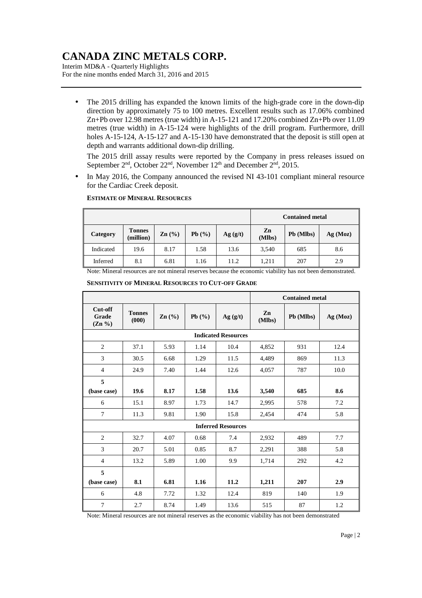Interim MD&A - Quarterly Highlights For the nine months ended March 31, 2016 and 2015

• The 2015 drilling has expanded the known limits of the high-grade core in the down-dip direction by approximately 75 to 100 metres. Excellent results such as 17.06% combined Zn+Pb over 12.98 metres (true width) in A-15-121 and 17.20% combined Zn+Pb over 11.09 metres (true width) in A-15-124 were highlights of the drill program. Furthermore, drill holes A-15-124, A-15-127 and A-15-130 have demonstrated that the deposit is still open at depth and warrants additional down-dip drilling.

The 2015 drill assay results were reported by the Company in press releases issued on September  $2<sup>nd</sup>$ , October  $22<sup>nd</sup>$ , November  $12<sup>th</sup>$  and December  $2<sup>nd</sup>$ ,  $2015$ .

• In May 2016, the Company announced the revised NI 43-101 compliant mineral resource for the Cardiac Creek deposit.

|           |                            |                 |           |         | <b>Contained metal</b> |           |          |  |
|-----------|----------------------------|-----------------|-----------|---------|------------------------|-----------|----------|--|
| Category  | <b>Tonnes</b><br>(million) | $\text{Zn}$ (%) | Pb $(\%)$ | Ag(g/t) | Zn<br>(Mlbs)           | Pb (Mlbs) | Ag (Moz) |  |
| Indicated | 19.6                       | 8.17            | 1.58      | 13.6    | 3,540                  | 685       | 8.6      |  |
| Inferred  | 8.1                        | 6.81            | 1.16      | 11.2    | 1,211                  | 207       | 2.9      |  |

#### **ESTIMATE OF MINERAL RESOURCES**

Note: Mineral resources are not mineral reserves because the economic viability has not been demonstrated.

|                                 |                           |                 |           | <b>Contained metal</b> |              |           |          |  |
|---------------------------------|---------------------------|-----------------|-----------|------------------------|--------------|-----------|----------|--|
| Cut-off<br>Grade<br>$(Zn \ \%)$ | <b>Tonnes</b><br>(000)    | $\text{Zn}(\%)$ | Pb $(\%)$ | Ag(g/t)                | Zn<br>(Mlbs) | Pb (Mlbs) | Ag (Moz) |  |
| <b>Indicated Resources</b>      |                           |                 |           |                        |              |           |          |  |
| 2                               | 37.1                      | 5.93            | 1.14      | 10.4                   | 4,852        | 931       | 12.4     |  |
| 3                               | 30.5                      | 6.68            | 1.29      | 11.5                   | 4,489        | 869       | 11.3     |  |
| $\overline{4}$                  | 24.9                      | 7.40            | 1.44      | 12.6                   | 4,057        | 787       | 10.0     |  |
| 5                               |                           |                 |           |                        |              |           |          |  |
| (base case)                     | 19.6                      | 8.17            | 1.58      | 13.6                   | 3,540        | 685       | 8.6      |  |
| 6                               | 15.1                      | 8.97            | 1.73      | 14.7                   | 2,995        | 578       | 7.2      |  |
| $\tau$                          | 11.3                      | 9.81            | 1.90      | 15.8                   | 2,454        | 474       | 5.8      |  |
|                                 | <b>Inferred Resources</b> |                 |           |                        |              |           |          |  |
| 2                               | 32.7                      | 4.07            | 0.68      | 7.4                    | 2,932        | 489       | 7.7      |  |
| 3                               | 20.7                      | 5.01            | 0.85      | 8.7                    | 2,291        | 388       | 5.8      |  |
| $\overline{4}$                  | 13.2                      | 5.89            | 1.00      | 9.9                    | 1,714        | 292       | 4.2      |  |
| 5                               |                           |                 |           |                        |              |           |          |  |
| (base case)                     | 8.1                       | 6.81            | 1.16      | 11.2                   | 1,211        | 207       | 2.9      |  |
| 6                               | 4.8                       | 7.72            | 1.32      | 12.4                   | 819          | 140       | 1.9      |  |
| 7                               | 2.7                       | 8.74            | 1.49      | 13.6                   | 515          | 87        | 1.2      |  |

 **SENSITIVITY OF MINERAL RESOURCES TO CUT-OFF GRADE**

Note: Mineral resources are not mineral reserves as the economic viability has not been demonstrated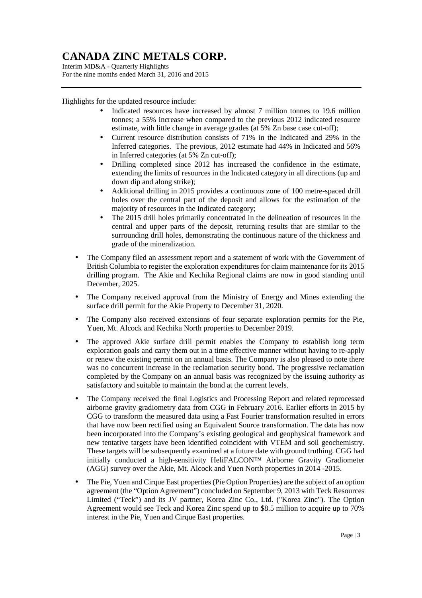Interim MD&A - Quarterly Highlights For the nine months ended March 31, 2016 and 2015

Highlights for the updated resource include:

- Indicated resources have increased by almost 7 million tonnes to 19.6 million tonnes; a 55% increase when compared to the previous 2012 indicated resource estimate, with little change in average grades (at 5% Zn base case cut-off);
- Current resource distribution consists of 71% in the Indicated and 29% in the Inferred categories. The previous, 2012 estimate had 44% in Indicated and 56% in Inferred categories (at 5% Zn cut-off);
- Drilling completed since 2012 has increased the confidence in the estimate, extending the limits of resources in the Indicated category in all directions (up and down dip and along strike);
- Additional drilling in 2015 provides a continuous zone of 100 metre-spaced drill holes over the central part of the deposit and allows for the estimation of the majority of resources in the Indicated category;
- The 2015 drill holes primarily concentrated in the delineation of resources in the central and upper parts of the deposit, returning results that are similar to the surrounding drill holes, demonstrating the continuous nature of the thickness and grade of the mineralization.
- The Company filed an assessment report and a statement of work with the Government of British Columbia to register the exploration expenditures for claim maintenance for its 2015 drilling program. The Akie and Kechika Regional claims are now in good standing until December, 2025.
- The Company received approval from the Ministry of Energy and Mines extending the surface drill permit for the Akie Property to December 31, 2020.
- The Company also received extensions of four separate exploration permits for the Pie, Yuen, Mt. Alcock and Kechika North properties to December 2019.
- The approved Akie surface drill permit enables the Company to establish long term exploration goals and carry them out in a time effective manner without having to re-apply or renew the existing permit on an annual basis. The Company is also pleased to note there was no concurrent increase in the reclamation security bond. The progressive reclamation completed by the Company on an annual basis was recognized by the issuing authority as satisfactory and suitable to maintain the bond at the current levels.
- The Company received the final Logistics and Processing Report and related reprocessed airborne gravity gradiometry data from CGG in February 2016. Earlier efforts in 2015 by CGG to transform the measured data using a Fast Fourier transformation resulted in errors that have now been rectified using an Equivalent Source transformation. The data has now been incorporated into the Company's existing geological and geophysical framework and new tentative targets have been identified coincident with VTEM and soil geochemistry. These targets will be subsequently examined at a future date with ground truthing. CGG had initially conducted a high-sensitivity HeliFALCON™ Airborne Gravity Gradiometer (AGG) survey over the Akie, Mt. Alcock and Yuen North properties in 2014 -2015.
- The Pie, Yuen and Cirque East properties (Pie Option Properties) are the subject of an option agreement (the "Option Agreement") concluded on September 9, 2013 with Teck Resources Limited ("Teck") and its JV partner, Korea Zinc Co., Ltd. ("Korea Zinc"). The Option Agreement would see Teck and Korea Zinc spend up to \$8.5 million to acquire up to 70% interest in the Pie, Yuen and Cirque East properties.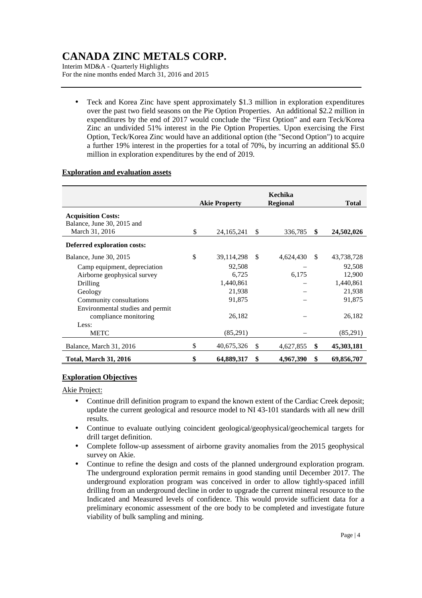Interim MD&A - Quarterly Highlights For the nine months ended March 31, 2016 and 2015

• Teck and Korea Zinc have spent approximately \$1.3 million in exploration expenditures over the past two field seasons on the Pie Option Properties. An additional \$2.2 million in expenditures by the end of 2017 would conclude the "First Option" and earn Teck/Korea Zinc an undivided 51% interest in the Pie Option Properties. Upon exercising the First Option, Teck/Korea Zinc would have an additional option (the "Second Option") to acquire a further 19% interest in the properties for a total of 70%, by incurring an additional \$5.0 million in exploration expenditures by the end of 2019.

### **Exploration and evaluation assets**

|                                  | <b>Akie Property</b> |    | Kechika<br><b>Regional</b> |               | <b>Total</b> |
|----------------------------------|----------------------|----|----------------------------|---------------|--------------|
| <b>Acquisition Costs:</b>        |                      |    |                            |               |              |
| Balance, June 30, 2015 and       |                      |    |                            |               |              |
| March 31, 2016                   | \$<br>24, 165, 241   | \$ | 336,785                    | \$            | 24,502,026   |
| Deferred exploration costs:      |                      |    |                            |               |              |
| Balance, June 30, 2015           | \$<br>39,114,298     | -S | 4,624,430                  | <sup>\$</sup> | 43,738,728   |
| Camp equipment, depreciation     | 92,508               |    |                            |               | 92,508       |
| Airborne geophysical survey      | 6,725                |    | 6,175                      |               | 12,900       |
| Drilling                         | 1,440,861            |    |                            |               | 1,440,861    |
| Geology                          | 21,938               |    |                            |               | 21,938       |
| Community consultations          | 91,875               |    |                            |               | 91,875       |
| Environmental studies and permit |                      |    |                            |               |              |
| compliance monitoring            | 26,182               |    |                            |               | 26,182       |
| Less:                            |                      |    |                            |               |              |
| <b>METC</b>                      | (85,291)             |    |                            |               | (85,291)     |
| Balance, March 31, 2016          | \$<br>40,675,326     | \$ | 4,627,855                  | \$            | 45,303,181   |
| <b>Total, March 31, 2016</b>     | \$<br>64,889,317     | \$ | 4,967,390                  | \$            | 69,856,707   |

### **Exploration Objectives**

Akie Project:

- Continue drill definition program to expand the known extent of the Cardiac Creek deposit; update the current geological and resource model to NI 43-101 standards with all new drill results.
- Continue to evaluate outlying coincident geological/geophysical/geochemical targets for drill target definition.
- Complete follow-up assessment of airborne gravity anomalies from the 2015 geophysical survey on Akie.
- Continue to refine the design and costs of the planned underground exploration program. The underground exploration permit remains in good standing until December 2017. The underground exploration program was conceived in order to allow tightly-spaced infill drilling from an underground decline in order to upgrade the current mineral resource to the Indicated and Measured levels of confidence. This would provide sufficient data for a preliminary economic assessment of the ore body to be completed and investigate future viability of bulk sampling and mining.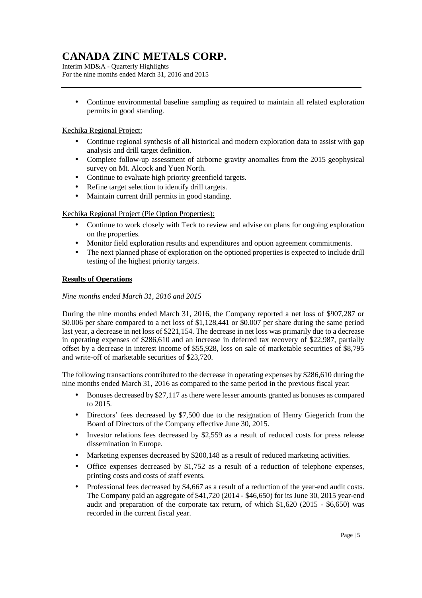Interim MD&A - Quarterly Highlights For the nine months ended March 31, 2016 and 2015

• Continue environmental baseline sampling as required to maintain all related exploration permits in good standing.

### Kechika Regional Project:

- Continue regional synthesis of all historical and modern exploration data to assist with gap analysis and drill target definition.
- Complete follow-up assessment of airborne gravity anomalies from the 2015 geophysical survey on Mt. Alcock and Yuen North.
- Continue to evaluate high priority greenfield targets.
- Refine target selection to identify drill targets.
- Maintain current drill permits in good standing.

### Kechika Regional Project (Pie Option Properties):

- Continue to work closely with Teck to review and advise on plans for ongoing exploration on the properties.
- Monitor field exploration results and expenditures and option agreement commitments.
- The next planned phase of exploration on the optioned properties is expected to include drill testing of the highest priority targets.

### **Results of Operations**

### *Nine months ended March 31, 2016 and 2015*

During the nine months ended March 31, 2016, the Company reported a net loss of \$907,287 or \$0.006 per share compared to a net loss of \$1,128,441 or \$0.007 per share during the same period last year, a decrease in net loss of \$221,154. The decrease in net loss was primarily due to a decrease in operating expenses of \$286,610 and an increase in deferred tax recovery of \$22,987, partially offset by a decrease in interest income of \$55,928, loss on sale of marketable securities of \$8,795 and write-off of marketable securities of \$23,720.

The following transactions contributed to the decrease in operating expenses by \$286,610 during the nine months ended March 31, 2016 as compared to the same period in the previous fiscal year:

- Bonuses decreased by \$27,117 as there were lesser amounts granted as bonuses as compared to 2015.
- Directors' fees decreased by \$7,500 due to the resignation of Henry Giegerich from the Board of Directors of the Company effective June 30, 2015.
- Investor relations fees decreased by \$2,559 as a result of reduced costs for press release dissemination in Europe.
- Marketing expenses decreased by \$200,148 as a result of reduced marketing activities.
- Office expenses decreased by \$1,752 as a result of a reduction of telephone expenses, printing costs and costs of staff events.
- Professional fees decreased by \$4,667 as a result of a reduction of the year-end audit costs. The Company paid an aggregate of \$41,720 (2014 - \$46,650) for its June 30, 2015 year-end audit and preparation of the corporate tax return, of which \$1,620 (2015 - \$6,650) was recorded in the current fiscal year.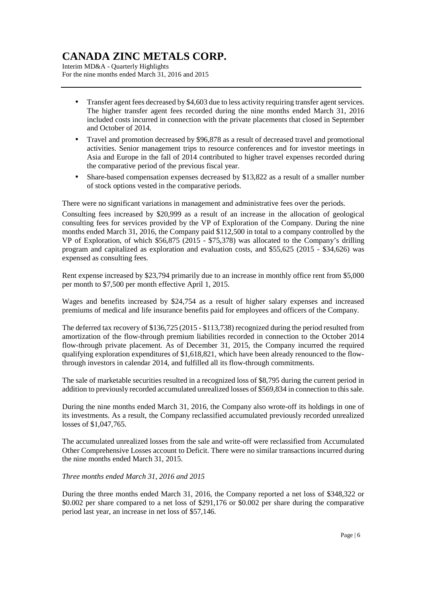Interim MD&A - Quarterly Highlights For the nine months ended March 31, 2016 and 2015

- Transfer agent fees decreased by \$4,603 due to less activity requiring transfer agent services. The higher transfer agent fees recorded during the nine months ended March 31, 2016 included costs incurred in connection with the private placements that closed in September and October of 2014.
- Travel and promotion decreased by \$96,878 as a result of decreased travel and promotional activities. Senior management trips to resource conferences and for investor meetings in Asia and Europe in the fall of 2014 contributed to higher travel expenses recorded during the comparative period of the previous fiscal year.
- Share-based compensation expenses decreased by \$13,822 as a result of a smaller number of stock options vested in the comparative periods.

There were no significant variations in management and administrative fees over the periods.

Consulting fees increased by \$20,999 as a result of an increase in the allocation of geological consulting fees for services provided by the VP of Exploration of the Company. During the nine months ended March 31, 2016, the Company paid \$112,500 in total to a company controlled by the VP of Exploration, of which \$56,875 (2015 - \$75,378) was allocated to the Company's drilling program and capitalized as exploration and evaluation costs, and \$55,625 (2015 - \$34,626) was expensed as consulting fees.

Rent expense increased by \$23,794 primarily due to an increase in monthly office rent from \$5,000 per month to \$7,500 per month effective April 1, 2015.

Wages and benefits increased by \$24,754 as a result of higher salary expenses and increased premiums of medical and life insurance benefits paid for employees and officers of the Company.

The deferred tax recovery of \$136,725 (2015 - \$113,738) recognized during the period resulted from amortization of the flow-through premium liabilities recorded in connection to the October 2014 flow-through private placement. As of December 31, 2015, the Company incurred the required qualifying exploration expenditures of \$1,618,821, which have been already renounced to the flowthrough investors in calendar 2014, and fulfilled all its flow-through commitments.

The sale of marketable securities resulted in a recognized loss of \$8,795 during the current period in addition to previously recorded accumulated unrealized losses of \$569,834 in connection to this sale.

During the nine months ended March 31, 2016, the Company also wrote-off its holdings in one of its investments. As a result, the Company reclassified accumulated previously recorded unrealized losses of \$1,047,765.

The accumulated unrealized losses from the sale and write-off were reclassified from Accumulated Other Comprehensive Losses account to Deficit. There were no similar transactions incurred during the nine months ended March 31, 2015.

### *Three months ended March 31, 2016 and 2015*

During the three months ended March 31, 2016, the Company reported a net loss of \$348,322 or \$0.002 per share compared to a net loss of \$291,176 or \$0.002 per share during the comparative period last year, an increase in net loss of \$57,146.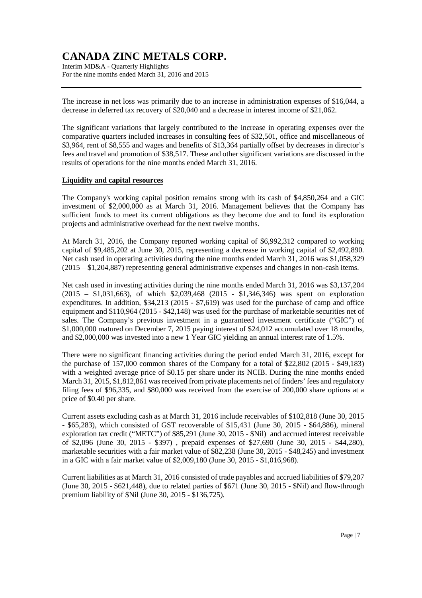Interim MD&A - Quarterly Highlights For the nine months ended March 31, 2016 and 2015

The increase in net loss was primarily due to an increase in administration expenses of \$16,044, a decrease in deferred tax recovery of \$20,040 and a decrease in interest income of \$21,062.

The significant variations that largely contributed to the increase in operating expenses over the comparative quarters included increases in consulting fees of \$32,501, office and miscellaneous of \$3,964, rent of \$8,555 and wages and benefits of \$13,364 partially offset by decreases in director's fees and travel and promotion of \$38,517. These and other significant variations are discussed in the results of operations for the nine months ended March 31, 2016.

#### **Liquidity and capital resources**

The Company's working capital position remains strong with its cash of \$4,850,264 and a GIC investment of \$2,000,000 as at March 31, 2016. Management believes that the Company has sufficient funds to meet its current obligations as they become due and to fund its exploration projects and administrative overhead for the next twelve months.

At March 31, 2016, the Company reported working capital of \$6,992,312 compared to working capital of \$9,485,202 at June 30, 2015, representing a decrease in working capital of \$2,492,890. Net cash used in operating activities during the nine months ended March 31, 2016 was \$1,058,329 (2015 – \$1,204,887) representing general administrative expenses and changes in non-cash items.

Net cash used in investing activities during the nine months ended March 31, 2016 was \$3,137,204 (2015 – \$1,031,663), of which \$2,039,468 (2015 - \$1,346,346) was spent on exploration expenditures. In addition, \$34,213 (2015 - \$7,619) was used for the purchase of camp and office equipment and \$110,964 (2015 - \$42,148) was used for the purchase of marketable securities net of sales. The Company's previous investment in a guaranteed investment certificate ("GIC") of \$1,000,000 matured on December 7, 2015 paying interest of \$24,012 accumulated over 18 months, and \$2,000,000 was invested into a new 1 Year GIC yielding an annual interest rate of 1.5%.

There were no significant financing activities during the period ended March 31, 2016, except for the purchase of 157,000 common shares of the Company for a total of \$22,802 (2015 - \$49,183) with a weighted average price of \$0.15 per share under its NCIB. During the nine months ended March 31, 2015, \$1,812,861 was received from private placements net of finders' fees and regulatory filing fees of \$96,335, and \$80,000 was received from the exercise of 200,000 share options at a price of \$0.40 per share.

Current assets excluding cash as at March 31, 2016 include receivables of \$102,818 (June 30, 2015 - \$65,283), which consisted of GST recoverable of \$15,431 (June 30, 2015 - \$64,886), mineral exploration tax credit ("METC") of \$85,291 (June 30, 2015 - \$Nil) and accrued interest receivable of \$2,096 (June 30, 2015 - \$397) , prepaid expenses of \$27,690 (June 30, 2015 - \$44,280), marketable securities with a fair market value of \$82,238 (June 30, 2015 - \$48,245) and investment in a GIC with a fair market value of \$2,009,180 (June 30, 2015 - \$1,016,968).

Current liabilities as at March 31, 2016 consisted of trade payables and accrued liabilities of \$79,207 (June 30, 2015 - \$621,448), due to related parties of \$671 (June 30, 2015 - \$Nil) and flow-through premium liability of \$Nil (June 30, 2015 - \$136,725).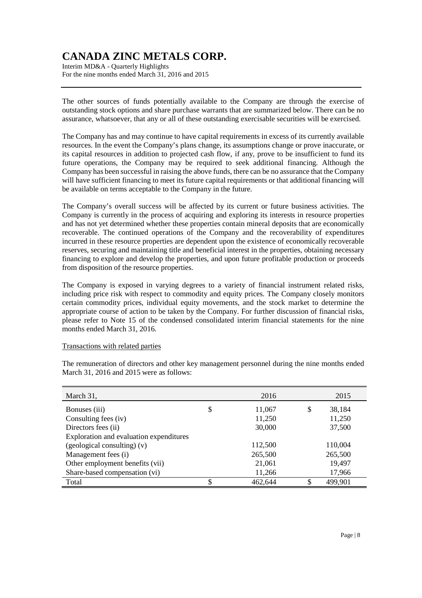Interim MD&A - Quarterly Highlights For the nine months ended March 31, 2016 and 2015

The other sources of funds potentially available to the Company are through the exercise of outstanding stock options and share purchase warrants that are summarized below. There can be no assurance, whatsoever, that any or all of these outstanding exercisable securities will be exercised.

The Company has and may continue to have capital requirements in excess of its currently available resources. In the event the Company's plans change, its assumptions change or prove inaccurate, or its capital resources in addition to projected cash flow, if any, prove to be insufficient to fund its future operations, the Company may be required to seek additional financing. Although the Company has been successful in raising the above funds, there can be no assurance that the Company will have sufficient financing to meet its future capital requirements or that additional financing will be available on terms acceptable to the Company in the future.

The Company's overall success will be affected by its current or future business activities. The Company is currently in the process of acquiring and exploring its interests in resource properties and has not yet determined whether these properties contain mineral deposits that are economically recoverable. The continued operations of the Company and the recoverability of expenditures incurred in these resource properties are dependent upon the existence of economically recoverable reserves, securing and maintaining title and beneficial interest in the properties, obtaining necessary financing to explore and develop the properties, and upon future profitable production or proceeds from disposition of the resource properties.

The Company is exposed in varying degrees to a variety of financial instrument related risks, including price risk with respect to commodity and equity prices. The Company closely monitors certain commodity prices, individual equity movements, and the stock market to determine the appropriate course of action to be taken by the Company. For further discussion of financial risks, please refer to Note 15 of the condensed consolidated interim financial statements for the nine months ended March 31, 2016.

### Transactions with related parties

The remuneration of directors and other key management personnel during the nine months ended March 31, 2016 and 2015 were as follows:

| March 31,                               | 2016          |    | 2015    |
|-----------------------------------------|---------------|----|---------|
| Bonuses (iii)                           | \$<br>11,067  | \$ | 38,184  |
| Consulting fees (iv)                    | 11,250        |    | 11,250  |
| Directors fees (ii)                     | 30,000        |    | 37,500  |
| Exploration and evaluation expenditures |               |    |         |
| $(gedogical consulting)$ (v)            | 112,500       |    | 110,004 |
| Management fees (i)                     | 265,500       |    | 265,500 |
| Other employment benefits (vii)         | 21,061        |    | 19,497  |
| Share-based compensation (vi)           | 11,266        |    | 17,966  |
| Total                                   | \$<br>462,644 | S. | 499,901 |